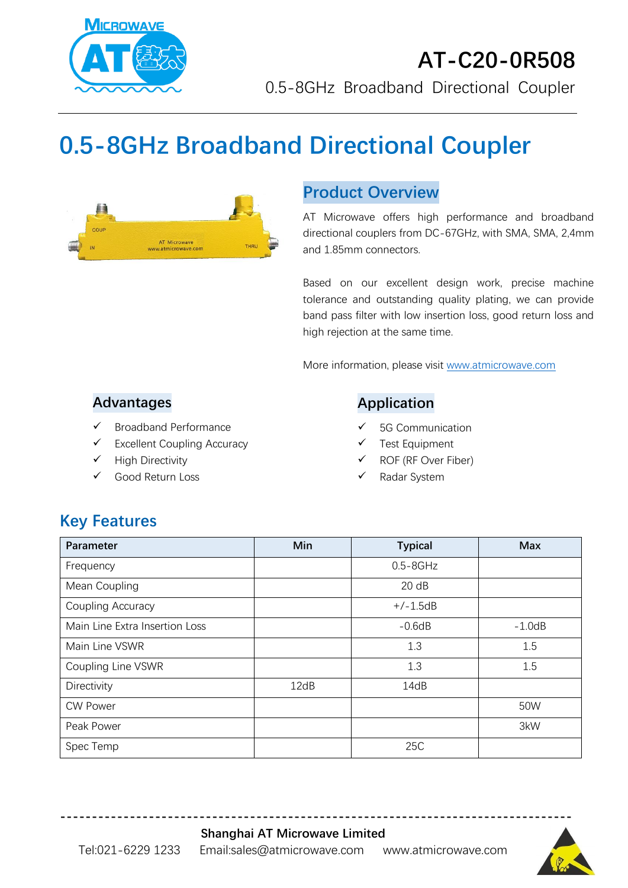

## **AT-C20-0R508** 0.5-8GHz Broadband Directional Coupler

# **0.5-8GHz Broadband Directional Coupler**



## **Product Overview**

AT Microwave offers high performance and broadband directional couplers from DC-67GHz, with SMA, SMA, 2,4mm and 1.85mm connectors.

Based on our excellent design work, precise machine tolerance and outstanding quality plating, we can provide band pass filter with low insertion loss, good return loss and high rejection at the same time.

More information, please visit [www.atmicrowave.com](http://www.atmicrowave.com/)

#### **Advantages**

- ✓ Broadband Performance
- ✓ Excellent Coupling Accuracy
- ✓ High Directivity
- Good Return Loss

#### **Application**

- 5G Communication
- Test Equipment
- ROF (RF Over Fiber)
- Radar System

## **Key Features**

| Parameter                      | Min  | <b>Typical</b> | <b>Max</b> |
|--------------------------------|------|----------------|------------|
| Frequency                      |      | $0.5 - 8$ GHz  |            |
| Mean Coupling                  |      | 20 dB          |            |
| Coupling Accuracy              |      | $+/-1.5dB$     |            |
| Main Line Extra Insertion Loss |      | $-0.6dB$       | $-1.0dB$   |
| Main Line VSWR                 |      | 1.3            | 1.5        |
| Coupling Line VSWR             |      | 1.3            | 1.5        |
| Directivity                    | 12dB | 14dB           |            |
| <b>CW Power</b>                |      |                | 50W        |
| Peak Power                     |      |                | 3kW        |
| Spec Temp                      |      | 25C            |            |